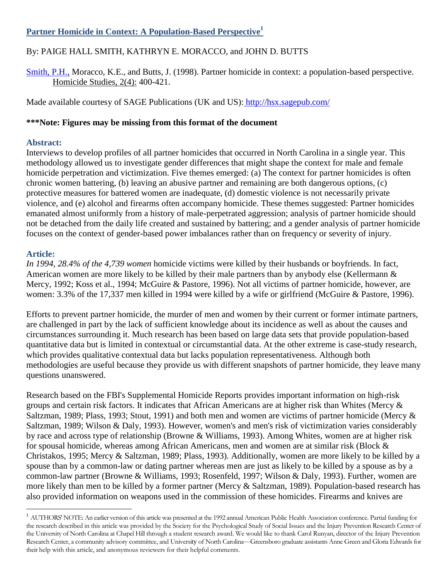# **Partner Homicide in Context: A Population-Based Perspective<sup>1</sup>**

# By: PAIGE HALL SMITH, KATHRYN E. MORACCO, and JOHN D. BUTTS

[Smith, P.H.,](http://libres.uncg.edu/ir/uncg/clist.aspx?id=1606) Moracco, K.E., and Butts, J. (1998). Partner homicide in context: a population-based perspective. Homicide Studies, 2(4): 400-421.

Made available courtesy of SAGE Publications (UK and US): <http://hsx.sagepub.com/>

## **\*\*\*Note: Figures may be missing from this format of the document**

### **Abstract:**

Interviews to develop profiles of all partner homicides that occurred in North Carolina in a single year. This methodology allowed us to investigate gender differences that might shape the context for male and female homicide perpetration and victimization. Five themes emerged: (a) The context for partner homicides is often chronic women battering, (b) leaving an abusive partner and remaining are both dangerous options, (c) protective measures for battered women are inadequate, (d) domestic violence is not necessarily private violence, and (e) alcohol and firearms often accompany homicide. These themes suggested: Partner homicides emanated almost uniformly from a history of male-perpetrated aggression; analysis of partner homicide should not be detached from the daily life created and sustained by battering; and a gender analysis of partner homicide focuses on the context of gender-based power imbalances rather than on frequency or severity of injury.

### **Article:**

 $\overline{a}$ 

*In 1994, 28.4% of the 4,739 women* homicide victims were killed by their husbands or boyfriends. In fact, American women are more likely to be killed by their male partners than by anybody else (Kellermann & Mercy, 1992; Koss et al., 1994; McGuire & Pastore, 1996). Not all victims of partner homicide, however, are women: 3.3% of the 17,337 men killed in 1994 were killed by a wife or girlfriend (McGuire & Pastore, 1996).

Efforts to prevent partner homicide, the murder of men and women by their current or former intimate partners, are challenged in part by the lack of sufficient knowledge about its incidence as well as about the causes and circumstances surrounding it. Much research has been based on large data sets that provide population-based quantitative data but is limited in contextual or circumstantial data. At the other extreme is case-study research, which provides qualitative contextual data but lacks population representativeness. Although both methodologies are useful because they provide us with different snapshots of partner homicide, they leave many questions unanswered.

Research based on the FBI's Supplemental Homicide Reports provides important information on high-risk groups and certain risk factors. It indicates that African Americans are at higher risk than Whites (Mercy & Saltzman, 1989; Plass, 1993; Stout, 1991) and both men and women are victims of partner homicide (Mercy & Saltzman, 1989; Wilson & Daly, 1993). However, women's and men's risk of victimization varies considerably by race and across type of relationship (Browne & Williams, 1993). Among Whites, women are at higher risk for spousal homicide, whereas among African Americans, men and women are at similar risk (Block & Christakos, 1995; Mercy & Saltzman, 1989; Plass, 1993). Additionally, women are more likely to be killed by a spouse than by a common-law or dating partner whereas men are just as likely to be killed by a spouse as by a common-law partner (Browne & Williams, 1993; Rosenfeld, 1997; Wilson & Daly, 1993). Further, women are more likely than men to be killed by a former partner (Mercy & Saltzman, 1989). Population-based research has also provided information on weapons used in the commission of these homicides. Firearms and knives are

 $1$  AUTHORS' NOTE: An earlier version of this article was presented at the 1992 annual American Public Health Association conference. Partial funding for the research described in this article was provided by the Society for the Psychological Study of Social Issues and the Injury Prevention Research Center of the University of North Carolina at Chapel Hill through a student research award. We would like to thank Carol Runyan, director of the Injury Prevention Research Center, a community advisory committee, and University of North Carolina—Greensboro graduate assistants Anne Green and Gloria Edwards for their help with this article, and anonymous reviewers for their helpful comments.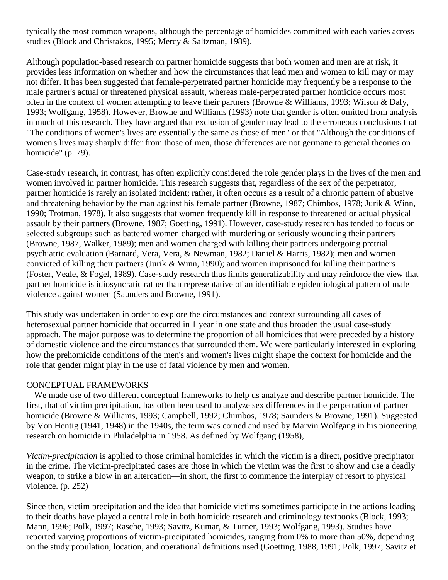typically the most common weapons, although the percentage of homicides committed with each varies across studies (Block and Christakos, 1995; Mercy & Saltzman, 1989).

Although population-based research on partner homicide suggests that both women and men are at risk, it provides less information on whether and how the circumstances that lead men and women to kill may or may not differ. It has been suggested that female-perpetrated partner homicide may frequently be a response to the male partner's actual or threatened physical assault, whereas male-perpetrated partner homicide occurs most often in the context of women attempting to leave their partners (Browne & Williams, 1993; Wilson & Daly, 1993; Wolfgang, 1958). However, Browne and Williams (1993) note that gender is often omitted from analysis in much of this research. They have argued that exclusion of gender may lead to the erroneous conclusions that "The conditions of women's lives are essentially the same as those of men" or that "Although the conditions of women's lives may sharply differ from those of men, those differences are not germane to general theories on homicide" (p. 79).

Case-study research, in contrast, has often explicitly considered the role gender plays in the lives of the men and women involved in partner homicide. This research suggests that, regardless of the sex of the perpetrator, partner homicide is rarely an isolated incident; rather, it often occurs as a result of a chronic pattern of abusive and threatening behavior by the man against his female partner (Browne, 1987; Chimbos, 1978; Jurik & Winn, 1990; Trotman, 1978). It also suggests that women frequently kill in response to threatened or actual physical assault by their partners (Browne, 1987; Goetting, 1991). However, case-study research has tended to focus on selected subgroups such as battered women charged with murdering or seriously wounding their partners (Browne, 1987, Walker, 1989); men and women charged with killing their partners undergoing pretrial psychiatric evaluation (Barnard, Vera, Vera, & Newman, 1982; Daniel & Harris, 1982); men and women convicted of killing their partners (Jurik & Winn, 1990); and women imprisoned for killing their partners (Foster, Veale, & Fogel, 1989). Case-study research thus limits generalizability and may reinforce the view that partner homicide is idiosyncratic rather than representative of an identifiable epidemiological pattern of male violence against women (Saunders and Browne, 1991).

This study was undertaken in order to explore the circumstances and context surrounding all cases of heterosexual partner homicide that occurred in 1 year in one state and thus broaden the usual case-study approach. The major purpose was to determine the proportion of all homicides that were preceded by a history of domestic violence and the circumstances that surrounded them. We were particularly interested in exploring how the prehomicide conditions of the men's and women's lives might shape the context for homicide and the role that gender might play in the use of fatal violence by men and women.

#### CONCEPTUAL FRAMEWORKS

We made use of two different conceptual frameworks to help us analyze and describe partner homicide. The first, that of victim precipitation, has often been used to analyze sex differences in the perpetration of partner homicide (Browne & Williams, 1993; Campbell, 1992; Chimbos, 1978; Saunders & Browne, 1991). Suggested by Von Hentig (1941, 1948) in the 1940s, the term was coined and used by Marvin Wolfgang in his pioneering research on homicide in Philadelphia in 1958. As defined by Wolfgang (1958),

*Victim-precipitation* is applied to those criminal homicides in which the victim is a direct, positive precipitator in the crime. The victim-precipitated cases are those in which the victim was the first to show and use a deadly weapon, to strike a blow in an altercation—in short, the first to commence the interplay of resort to physical violence. (p. 252)

Since then, victim precipitation and the idea that homicide victims sometimes participate in the actions leading to their deaths have played a central role in both homicide research and criminology textbooks (Block, 1993; Mann, 1996; Polk, 1997; Rasche, 1993; Savitz, Kumar, & Turner, 1993; Wolfgang, 1993). Studies have reported varying proportions of victim-precipitated homicides, ranging from 0% to more than 50%, depending on the study population, location, and operational definitions used (Goetting, 1988, 1991; Polk, 1997; Savitz et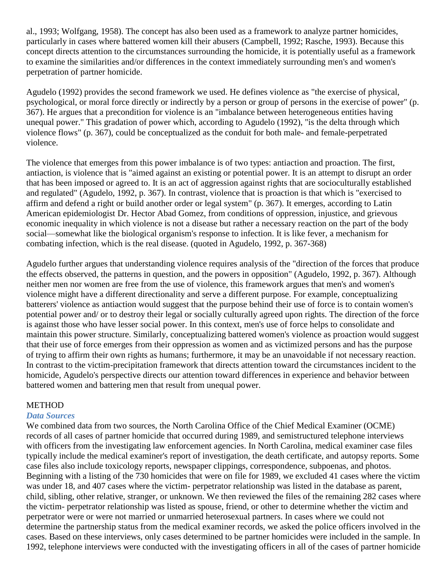al., 1993; Wolfgang, 1958). The concept has also been used as a framework to analyze partner homicides, particularly in cases where battered women kill their abusers (Campbell, 1992; Rasche, 1993). Because this concept directs attention to the circumstances surrounding the homicide, it is potentially useful as a framework to examine the similarities and/or differences in the context immediately surrounding men's and women's perpetration of partner homicide.

Agudelo (1992) provides the second framework we used. He defines violence as "the exercise of physical, psychological, or moral force directly or indirectly by a person or group of persons in the exercise of power" (p. 367). He argues that a precondition for violence is an "imbalance between heterogeneous entities having unequal power." This gradation of power which, according to Agudelo (1992), "is the delta through which violence flows" (p. 367), could be conceptualized as the conduit for both male- and female-perpetrated violence.

The violence that emerges from this power imbalance is of two types: antiaction and proaction. The first, antiaction, is violence that is "aimed against an existing or potential power. It is an attempt to disrupt an order that has been imposed or agreed to. It is an act of aggression against rights that are socioculturally established and regulated" (Agudelo, 1992, p. 367). In contrast, violence that is proaction is that which is "exercised to affirm and defend a right or build another order or legal system" (p. 367). It emerges, according to Latin American epidemiologist Dr. Hector Abad Gomez, from conditions of oppression, injustice, and grievous economic inequality in which violence is not a disease but rather a necessary reaction on the part of the body social—somewhat like the biological organism's response to infection. It is like fever, a mechanism for combating infection, which is the real disease. (quoted in Agudelo, 1992, p. 367-368)

Agudelo further argues that understanding violence requires analysis of the "direction of the forces that produce the effects observed, the patterns in question, and the powers in opposition" (Agudelo, 1992, p. 367). Although neither men nor women are free from the use of violence, this framework argues that men's and women's violence might have a different directionality and serve a different purpose. For example, conceptualizing batterers' violence as antiaction would suggest that the purpose behind their use of force is to contain women's potential power and/ or to destroy their legal or socially culturally agreed upon rights. The direction of the force is against those who have lesser social power. In this context, men's use of force helps to consolidate and maintain this power structure. Similarly, conceptualizing battered women's violence as proaction would suggest that their use of force emerges from their oppression as women and as victimized persons and has the purpose of trying to affirm their own rights as humans; furthermore, it may be an unavoidable if not necessary reaction. In contrast to the victim-precipitation framework that directs attention toward the circumstances incident to the homicide, Agudelo's perspective directs our attention toward differences in experience and behavior between battered women and battering men that result from unequal power.

#### **METHOD**

#### *Data Sources*

We combined data from two sources, the North Carolina Office of the Chief Medical Examiner (OCME) records of all cases of partner homicide that occurred during 1989, and semistructured telephone interviews with officers from the investigating law enforcement agencies. In North Carolina, medical examiner case files typically include the medical examiner's report of investigation, the death certificate, and autopsy reports. Some case files also include toxicology reports, newspaper clippings, correspondence, subpoenas, and photos. Beginning with a listing of the 730 homicides that were on file for 1989, we excluded 41 cases where the victim was under 18, and 407 cases where the victim- perpetrator relationship was listed in the database as parent, child, sibling, other relative, stranger, or unknown. We then reviewed the files of the remaining 282 cases where the victim- perpetrator relationship was listed as spouse, friend, or other to determine whether the victim and perpetrator were or were not married or unmarried heterosexual partners. In cases where we could not determine the partnership status from the medical examiner records, we asked the police officers involved in the cases. Based on these interviews, only cases determined to be partner homicides were included in the sample. In 1992, telephone interviews were conducted with the investigating officers in all of the cases of partner homicide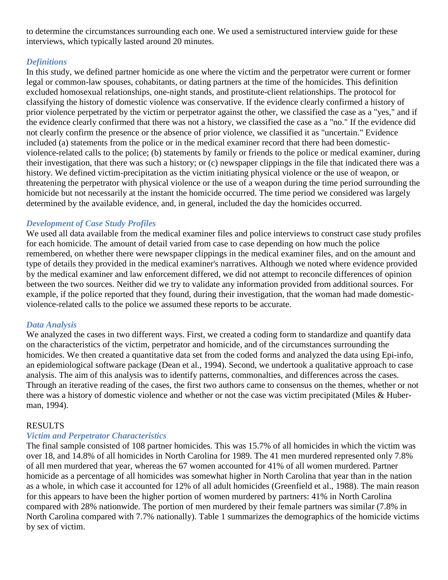to determine the circumstances surrounding each one. We used a semistructured interview guide for these interviews, which typically lasted around 20 minutes.

## *Definitions*

In this study, we defined partner homicide as one where the victim and the perpetrator were current or former legal or common-law spouses, cohabitants, or dating partners at the time of the homicides. This definition excluded homosexual relationships, one-night stands, and prostitute-client relationships. The protocol for classifying the history of domestic violence was conservative. If the evidence clearly confirmed a history of prior violence perpetrated by the victim or perpetrator against the other, we classified the case as a "yes," and if the evidence clearly confirmed that there was not a history, we classified the case as a "no." If the evidence did not clearly confirm the presence or the absence of prior violence, we classified it as "uncertain." Evidence included (a) statements from the police or in the medical examiner record that there had been domesticviolence-related calls to the police; (b) statements by family or friends to the police or medical examiner, during their investigation, that there was such a history; or (c) newspaper clippings in the file that indicated there was a history. We defined victim-precipitation as the victim initiating physical violence or the use of weapon, or threatening the perpetrator with physical violence or the use of a weapon during the time period surrounding the homicide but not necessarily at the instant the homicide occurred. The time period we considered was largely determined by the available evidence, and, in general, included the day the homicides occurred.

### *Development of Case Study Profiles*

We used all data available from the medical examiner files and police interviews to construct case study profiles for each homicide. The amount of detail varied from case to case depending on how much the police remembered, on whether there were newspaper clippings in the medical examiner files, and on the amount and type of details they provided in the medical examiner's narratives. Although we noted where evidence provided by the medical examiner and law enforcement differed, we did not attempt to reconcile differences of opinion between the two sources. Neither did we try to validate any information provided from additional sources. For example, if the police reported that they found, during their investigation, that the woman had made domesticviolence-related calls to the police we assumed these reports to be accurate.

## *Data Analysis*

We analyzed the cases in two different ways. First, we created a coding form to standardize and quantify data on the characteristics of the victim, perpetrator and homicide, and of the circumstances surrounding the homicides. We then created a quantitative data set from the coded forms and analyzed the data using Epi-info, an epidemiological software package (Dean et al., 1994). Second, we undertook a qualitative approach to case analysis. The aim of this analysis was to identify patterns, commonalties, and differences across the cases. Through an iterative reading of the cases, the first two authors came to consensus on the themes, whether or not there was a history of domestic violence and whether or not the case was victim precipitated (Miles & Huberman, 1994).

#### RESULTS

#### *Victim and Perpetrator Characteristics*

The final sample consisted of 108 partner homicides. This was 15.7% of all homicides in which the victim was over 18, and 14.8% of all homicides in North Carolina for 1989. The 41 men murdered represented only 7.8% of all men murdered that year, whereas the 67 women accounted for 41% of all women murdered. Partner homicide as a percentage of all homicides was somewhat higher in North Carolina that year than in the nation as a whole, in which case it accounted for 12% of all adult homicides (Greenfield et al., 1988). The main reason for this appears to have been the higher portion of women murdered by partners: 41% in North Carolina compared with 28% nationwide. The portion of men murdered by their female partners was similar (7.8% in North Carolina compared with 7.7% nationally). Table 1 summarizes the demographics of the homicide victims by sex of victim.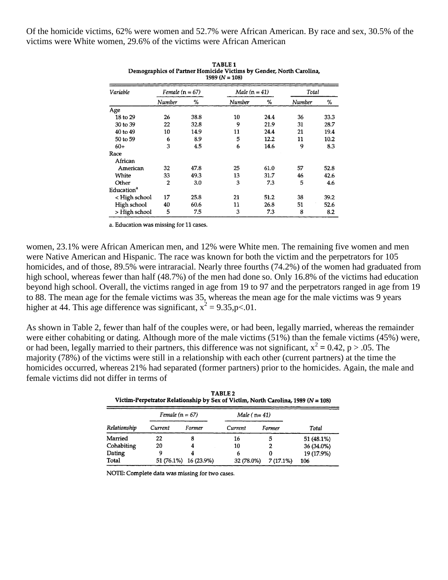Of the homicide victims, 62% were women and 52.7% were African American. By race and sex, 30.5% of the victims were White women, 29.6% of the victims were African American

| 1797 (IV = 109)        |                   |      |                 |      |        |      |  |  |
|------------------------|-------------------|------|-----------------|------|--------|------|--|--|
| Variable               | Female $(n = 67)$ |      | Male $(n = 41)$ |      | Total  |      |  |  |
|                        | Number            | ℅    | Number          | %    | Number | ℅    |  |  |
| Age                    |                   |      |                 |      |        |      |  |  |
| 18 to 29               | 26                | 38.8 | 10              | 24.4 | 36     | 33.3 |  |  |
| 30 to 39               | 22                | 32.8 | 9               | 21.9 | 31     | 28.7 |  |  |
| 40 to 49               | 10                | 14.9 | 11              | 24.4 | 21     | 19.4 |  |  |
| 50 to 59               | 6                 | 8.9  | 5               | 12.2 | 11     | 10.2 |  |  |
| $60+$                  | 3                 | 4.5  | 6               | 14.6 | 9      | 8.3  |  |  |
| Race                   |                   |      |                 |      |        |      |  |  |
| African                |                   |      |                 |      |        |      |  |  |
| American               | 32                | 47.8 | 25              | 61.0 | 57     | 52.8 |  |  |
| White                  | 33                | 49.3 | 13              | 31.7 | 46     | 42.6 |  |  |
| Other                  | 2                 | 3.0  | 3               | 7.3  | 5      | 4.6  |  |  |
| Education <sup>a</sup> |                   |      |                 |      |        |      |  |  |
| < High school          | 17                | 25.8 | 21              | 51.2 | 38     | 39.2 |  |  |
| High school            | 40                | 60.6 | 11              | 26.8 | 51     | 52.6 |  |  |
| > High school          | 5                 | 7.5  | 3               | 7.3  | 8      | 8.2  |  |  |

TABLE<sub>1</sub> Demographics of Partner Homicide Victims by Gender, North Carolina,

a. Education was missing for 11 cases.

women, 23.1% were African American men, and 12% were White men. The remaining five women and men were Native American and Hispanic. The race was known for both the victim and the perpetrators for 105 homicides, and of those, 89.5% were intraracial. Nearly three fourths (74.2%) of the women had graduated from high school, whereas fewer than half (48.7%) of the men had done so. Only 16.8% of the victims had education beyond high school. Overall, the victims ranged in age from 19 to 97 and the perpetrators ranged in age from 19 to 88. The mean age for the female victims was 35, whereas the mean age for the male victims was 9 years higher at 44. This age difference was significant,  $x^2 = 9.35$ , p<.01.

As shown in Table 2, fewer than half of the couples were, or had been, legally married, whereas the remainder were either cohabiting or dating. Although more of the male victims (51%) than the female victims (45%) were, or had been, legally married to their partners, this difference was not significant,  $x^2 = 0.42$ ,  $p > .05$ . The majority (78%) of the victims were still in a relationship with each other (current partners) at the time the homicides occurred, whereas 21% had separated (former partners) prior to the homicides. Again, the male and female victims did not differ in terms of

| TABLE 2                                                                              |
|--------------------------------------------------------------------------------------|
| Victim-Perpetrator Relationship by Sex of Victim, North Carolina, 1989 ( $N = 108$ ) |

| Relationship | Female $(n = 67)$ |            | Male ( $n=41$ ) |          |            |
|--------------|-------------------|------------|-----------------|----------|------------|
|              | Current           | Former     | Current         | Former   | Total      |
| Married      | 22                | 8          | 16              | 5        | 51 (48.1%) |
| Cohabiting   | 20                |            | 10              |          | 36 (34.0%) |
| Dating       |                   |            | 6               |          | 19 (17.9%) |
| Total        | 51 (76.1%)        | 16 (23.9%) | 32 (78.0%)      | 7(17.1%) | 106        |

NOTE: Complete data was missing for two cases.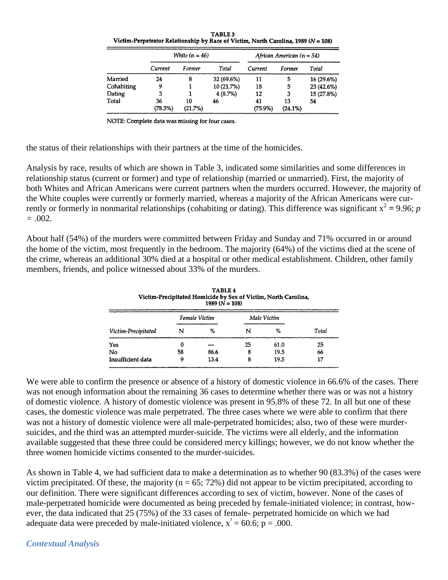TABLE 3 Victim-Perpetrator Relationship by Race of Victim, North Carolina, 1989 ( $N = 108$ )

|            | White $(n = 46)$ |               |            | African American $(n = 54)$ |                  |            |
|------------|------------------|---------------|------------|-----------------------------|------------------|------------|
|            | Current          | Former        | Total      | Current                     | Former           | Total      |
| Married    | 24               | 8             | 32 (69.6%) | 11                          | 5                | 16 (29.6%) |
| Cohabiting | Q                |               | 10 (21.7%) | 18                          | 5                | 23 (42.6%) |
| Dating     | 3                |               | 4(8.7%)    | 12                          | 3                | 15 (27.8%) |
| Total      | 36<br>(78.3%)    | 10<br>(21.7%) | 46         | 41<br>(75.9%)               | 13<br>$(24.1\%)$ | 54         |

NOTE: Complete data was missing for four cases.

the status of their relationships with their partners at the time of the homicides.

Analysis by race, results of which are shown in Table 3, indicated some similarities and some differences in relationship status (current or former) and type of relationship (married or unmarried). First, the majority of both Whites and African Americans were current partners when the murders occurred. However, the majority of the White couples were currently or formerly married, whereas a majority of the African Americans were currently or formerly in nonmarital relationships (cohabiting or dating). This difference was significant  $x^2 = 9.96$ ; *p =* .002.

About half (54%) of the murders were committed between Friday and Sunday and 71% occurred in or around the home of the victim, most frequently in the bedroom. The majority (64%) of the victims died at the scene of the crime, whereas an additional 30% died at a hospital or other medical establishment. Children, other family members, friends, and police witnessed about 33% of the murders.

| <b>TABLE 4</b><br>Victim-Precipitated Homicide by Sex of Victim, North Carolina,<br>1989 $(N = 108)$ |               |      |             |      |       |  |  |
|------------------------------------------------------------------------------------------------------|---------------|------|-------------|------|-------|--|--|
| Victim-Precipitated                                                                                  | Female Victim |      | Male Victim |      |       |  |  |
|                                                                                                      | N             | %    | N           | %    | Total |  |  |
| Yes                                                                                                  | 0             |      | 25          | 61.0 | 25    |  |  |
| No                                                                                                   | 58            | 86.6 | 8           | 19.5 | 66    |  |  |
| Insufficient data                                                                                    | 9             | 13.4 | 8           | 19.5 | 17    |  |  |

We were able to confirm the presence or absence of a history of domestic violence in 66.6% of the cases. There was not enough information about the remaining 36 cases to determine whether there was or was not a history of domestic violence. A history of domestic violence was present in 95.8% of these 72. In all but one of these cases, the domestic violence was male perpetrated. The three cases where we were able to confirm that there was not a history of domestic violence were all male-perpetrated homicides; also, two of these were murdersuicides, and the third was an attempted murder-suicide. The victims were all elderly, and the information available suggested that these three could be considered mercy killings; however, we do not know whether the three women homicide victims consented to the murder-suicides.

As shown in Table 4, we had sufficient data to make a determination as to whether 90 (83.3%) of the cases were victim precipitated. Of these, the majority ( $n = 65$ ; 72%) did not appear to be victim precipitated, according to our definition. There were significant differences according to sex of victim, however. None of the cases of male-perpetrated homicide were documented as being preceded by female-initiated violence; in contrast, however, the data indicated that 25 (75%) of the 33 cases of female- perpetrated homicide on which we had adequate data were preceded by male-initiated violence,  $x^2 = 60.6$ ;  $p = .000$ .

#### *Contextual Analysis*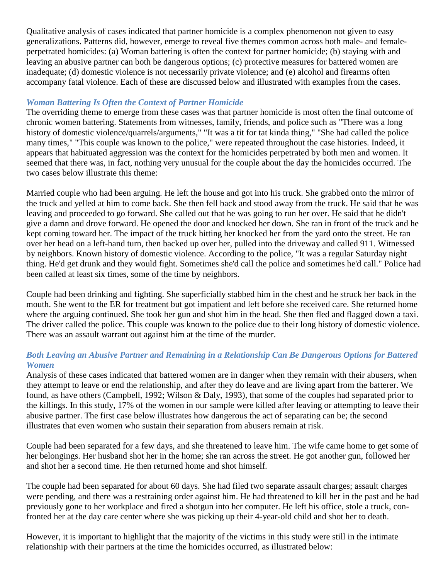Qualitative analysis of cases indicated that partner homicide is a complex phenomenon not given to easy generalizations. Patterns did, however, emerge to reveal five themes common across both male- and femaleperpetrated homicides: (a) Woman battering is often the context for partner homicide; (b) staying with and leaving an abusive partner can both be dangerous options; (c) protective measures for battered women are inadequate; (d) domestic violence is not necessarily private violence; and (e) alcohol and firearms often accompany fatal violence. Each of these are discussed below and illustrated with examples from the cases.

# *Woman Battering Is Often the Context of Partner Homicide*

The overriding theme to emerge from these cases was that partner homicide is most often the final outcome of chronic women battering. Statements from witnesses, family, friends, and police such as "There was a long history of domestic violence/quarrels/arguments," "It was a tit for tat kinda thing," "She had called the police many times," "This couple was known to the police," were repeated throughout the case histories. Indeed, it appears that habituated aggression was the context for the homicides perpetrated by both men and women. It seemed that there was, in fact, nothing very unusual for the couple about the day the homicides occurred. The two cases below illustrate this theme:

Married couple who had been arguing. He left the house and got into his truck. She grabbed onto the mirror of the truck and yelled at him to come back. She then fell back and stood away from the truck. He said that he was leaving and proceeded to go forward. She called out that he was going to run her over. He said that he didn't give a damn and drove forward. He opened the door and knocked her down. She ran in front of the truck and he kept coming toward her. The impact of the truck hitting her knocked her from the yard onto the street. He ran over her head on a left-hand turn, then backed up over her, pulled into the driveway and called 911. Witnessed by neighbors. Known history of domestic violence. According to the police, "It was a regular Saturday night thing. He'd get drunk and they would fight. Sometimes she'd call the police and sometimes he'd call." Police had been called at least six times, some of the time by neighbors.

Couple had been drinking and fighting. She superficially stabbed him in the chest and he struck her back in the mouth. She went to the ER for treatment but got impatient and left before she received care. She returned home where the arguing continued. She took her gun and shot him in the head. She then fled and flagged down a taxi. The driver called the police. This couple was known to the police due to their long history of domestic violence. There was an assault warrant out against him at the time of the murder.

## *Both Leaving an Abusive Partner and Remaining in a Relationship Can Be Dangerous Options for Battered Women*

Analysis of these cases indicated that battered women are in danger when they remain with their abusers, when they attempt to leave or end the relationship, and after they do leave and are living apart from the batterer. We found, as have others (Campbell, 1992; Wilson & Daly, 1993), that some of the couples had separated prior to the killings. In this study, 17% of the women in our sample were killed after leaving or attempting to leave their abusive partner. The first case below illustrates how dangerous the act of separating can be; the second illustrates that even women who sustain their separation from abusers remain at risk.

Couple had been separated for a few days, and she threatened to leave him. The wife came home to get some of her belongings. Her husband shot her in the home; she ran across the street. He got another gun, followed her and shot her a second time. He then returned home and shot himself.

The couple had been separated for about 60 days. She had filed two separate assault charges; assault charges were pending, and there was a restraining order against him. He had threatened to kill her in the past and he had previously gone to her workplace and fired a shotgun into her computer. He left his office, stole a truck, confronted her at the day care center where she was picking up their 4-year-old child and shot her to death.

However, it is important to highlight that the majority of the victims in this study were still in the intimate relationship with their partners at the time the homicides occurred, as illustrated below: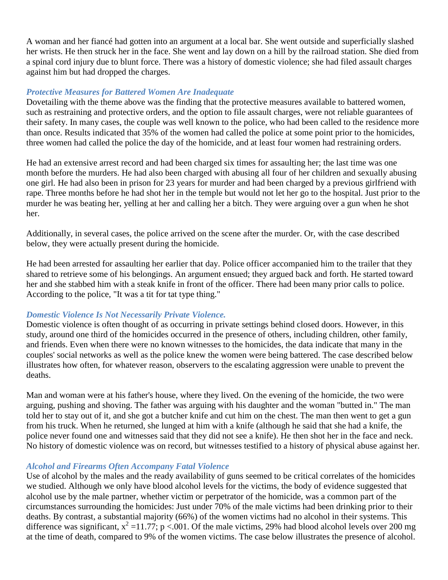A woman and her fiancé had gotten into an argument at a local bar. She went outside and superficially slashed her wrists. He then struck her in the face. She went and lay down on a hill by the railroad station. She died from a spinal cord injury due to blunt force. There was a history of domestic violence; she had filed assault charges against him but had dropped the charges.

### *Protective Measures for Battered Women Are Inadequate*

Dovetailing with the theme above was the finding that the protective measures available to battered women, such as restraining and protective orders, and the option to file assault charges, were not reliable guarantees of their safety. In many cases, the couple was well known to the police, who had been called to the residence more than once. Results indicated that 35% of the women had called the police at some point prior to the homicides, three women had called the police the day of the homicide, and at least four women had restraining orders.

He had an extensive arrest record and had been charged six times for assaulting her; the last time was one month before the murders. He had also been charged with abusing all four of her children and sexually abusing one girl. He had also been in prison for 23 years for murder and had been charged by a previous girlfriend with rape. Three months before he had shot her in the temple but would not let her go to the hospital. Just prior to the murder he was beating her, yelling at her and calling her a bitch. They were arguing over a gun when he shot her.

Additionally, in several cases, the police arrived on the scene after the murder. Or, with the case described below, they were actually present during the homicide.

He had been arrested for assaulting her earlier that day. Police officer accompanied him to the trailer that they shared to retrieve some of his belongings. An argument ensued; they argued back and forth. He started toward her and she stabbed him with a steak knife in front of the officer. There had been many prior calls to police. According to the police, "It was a tit for tat type thing."

#### *Domestic Violence Is Not Necessarily Private Violence.*

Domestic violence is often thought of as occurring in private settings behind closed doors. However, in this study, around one third of the homicides occurred in the presence of others, including children, other family, and friends. Even when there were no known witnesses to the homicides, the data indicate that many in the couples' social networks as well as the police knew the women were being battered. The case described below illustrates how often, for whatever reason, observers to the escalating aggression were unable to prevent the deaths.

Man and woman were at his father's house, where they lived. On the evening of the homicide, the two were arguing, pushing and shoving. The father was arguing with his daughter and the woman "butted in." The man told her to stay out of it, and she got a butcher knife and cut him on the chest. The man then went to get a gun from his truck. When he returned, she lunged at him with a knife (although he said that she had a knife, the police never found one and witnesses said that they did not see a knife). He then shot her in the face and neck. No history of domestic violence was on record, but witnesses testified to a history of physical abuse against her.

#### *Alcohol and Firearms Often Accompany Fatal Violence*

Use of alcohol by the males and the ready availability of guns seemed to be critical correlates of the homicides we studied. Although we only have blood alcohol levels for the victims, the body of evidence suggested that alcohol use by the male partner, whether victim or perpetrator of the homicide, was a common part of the circumstances surrounding the homicides: Just under 70% of the male victims had been drinking prior to their deaths. By contrast, a substantial majority (66%) of the women victims had no alcohol in their systems. This difference was significant,  $x^2 = 11.77$ ; p <.001. Of the male victims, 29% had blood alcohol levels over 200 mg at the time of death, compared to 9% of the women victims. The case below illustrates the presence of alcohol.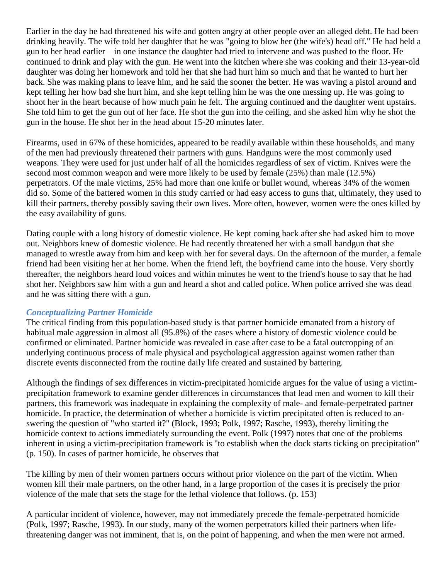Earlier in the day he had threatened his wife and gotten angry at other people over an alleged debt. He had been drinking heavily. The wife told her daughter that he was "going to blow her (the wife's) head off." He had held a gun to her head earlier—in one instance the daughter had tried to intervene and was pushed to the floor. He continued to drink and play with the gun. He went into the kitchen where she was cooking and their 13-year-old daughter was doing her homework and told her that she had hurt him so much and that he wanted to hurt her back. She was making plans to leave him, and he said the sooner the better. He was waving a pistol around and kept telling her how bad she hurt him, and she kept telling him he was the one messing up. He was going to shoot her in the heart because of how much pain he felt. The arguing continued and the daughter went upstairs. She told him to get the gun out of her face. He shot the gun into the ceiling, and she asked him why he shot the gun in the house. He shot her in the head about 15-20 minutes later.

Firearms, used in 67% of these homicides, appeared to be readily available within these households, and many of the men had previously threatened their partners with guns. Handguns were the most commonly used weapons. They were used for just under half of all the homicides regardless of sex of victim. Knives were the second most common weapon and were more likely to be used by female (25%) than male (12.5%) perpetrators. Of the male victims, 25% had more than one knife or bullet wound, whereas 34% of the women did so. Some of the battered women in this study carried or had easy access to guns that, ultimately, they used to kill their partners, thereby possibly saving their own lives. More often, however, women were the ones killed by the easy availability of guns.

Dating couple with a long history of domestic violence. He kept coming back after she had asked him to move out. Neighbors knew of domestic violence. He had recently threatened her with a small handgun that she managed to wrestle away from him and keep with her for several days. On the afternoon of the murder, a female friend had been visiting her at her home. When the friend left, the boyfriend came into the house. Very shortly thereafter, the neighbors heard loud voices and within minutes he went to the friend's house to say that he had shot her. Neighbors saw him with a gun and heard a shot and called police. When police arrived she was dead and he was sitting there with a gun.

## *Conceptualizing Partner Homicide*

The critical finding from this population-based study is that partner homicide emanated from a history of habitual male aggression in almost all (95.8%) of the cases where a history of domestic violence could be confirmed or eliminated. Partner homicide was revealed in case after case to be a fatal outcropping of an underlying continuous process of male physical and psychological aggression against women rather than discrete events disconnected from the routine daily life created and sustained by battering.

Although the findings of sex differences in victim-precipitated homicide argues for the value of using a victimprecipitation framework to examine gender differences in circumstances that lead men and women to kill their partners, this framework was inadequate in explaining the complexity of male- and female-perpetrated partner homicide. In practice, the determination of whether a homicide is victim precipitated often is reduced to answering the question of "who started it?" (Block, 1993; Polk, 1997; Rasche, 1993), thereby limiting the homicide context to actions immediately surrounding the event. Polk (1997) notes that one of the problems inherent in using a victim-precipitation framework is "to establish when the dock starts ticking on precipitation" (p. 150). In cases of partner homicide, he observes that

The killing by men of their women partners occurs without prior violence on the part of the victim. When women kill their male partners, on the other hand, in a large proportion of the cases it is precisely the prior violence of the male that sets the stage for the lethal violence that follows. (p. 153)

A particular incident of violence, however, may not immediately precede the female-perpetrated homicide (Polk, 1997; Rasche, 1993). In our study, many of the women perpetrators killed their partners when lifethreatening danger was not imminent, that is, on the point of happening, and when the men were not armed.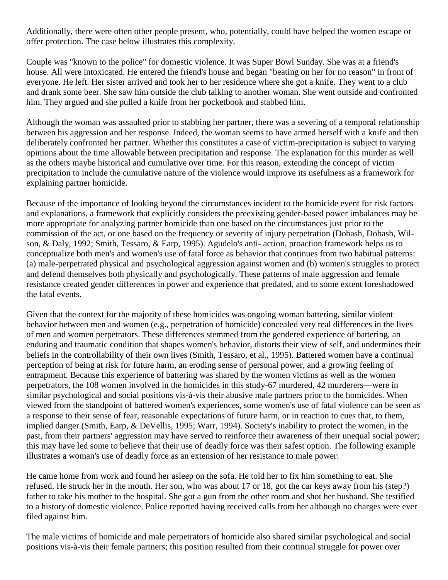Additionally, there were often other people present, who, potentially, could have helped the women escape or offer protection. The case below illustrates this complexity.

Couple was "known to the police" for domestic violence. It was Super Bowl Sunday. She was at a friend's house. All were intoxicated. He entered the friend's house and began "beating on her for no reason" in front of everyone. He left. Her sister arrived and took her to her residence where she got a knife. They went to a club and drank some beer. She saw him outside the club talking to another woman. She went outside and confronted him. They argued and she pulled a knife from her pocketbook and stabbed him.

Although the woman was assaulted prior to stabbing her partner, there was a severing of a temporal relationship between his aggression and her response. Indeed, the woman seems to have armed herself with a knife and then deliberately confronted her partner. Whether this constitutes a case of victim-precipitation is subject to varying opinions about the time allowable between precipitation and response. The explanation for this murder as well as the others maybe historical and cumulative over time. For this reason, extending the concept of victim precipitation to include the cumulative nature of the violence would improve its usefulness as a framework for explaining partner homicide.

Because of the importance of looking beyond the circumstances incident to the homicide event for risk factors and explanations, a framework that explicitly considers the preexisting gender-based power imbalances may be more appropriate for analyzing partner homicide than one based on the circumstances just prior to the commission of the act, or one based on the frequency or severity of injury perpetration (Dobash, Dobash, Wilson, & Daly, 1992; Smith, Tessaro, & Earp, 1995). Agudelo's anti- action, proaction framework helps us to conceptualize both men's and women's use of fatal force as behavior that continues from two habitual patterns: (a) male-perpetrated physical and psychological aggression against women and (b) women's struggles to protect and defend themselves both physically and psychologically. These patterns of male aggression and female resistance created gender differences in power and experience that predated, and to some extent foreshadowed the fatal events.

Given that the context for the majority of these homicides was ongoing woman battering, similar violent behavior between men and women (e.g., perpetration of homicide) concealed very real differences in the lives of men and women perpetrators. These differences stemmed from the gendered experience of battering, an enduring and traumatic condition that shapes women's behavior, distorts their view of self, and undermines their beliefs in the controllability of their own lives (Smith, Tessaro, et al., 1995). Battered women have a continual perception of being at risk for future harm, an eroding sense of personal power, and a growing feeling of entrapment. Because this experience of battering was shared by the women victims as well as the women perpetrators, the 108 women involved in the homicides in this study-67 murdered, 42 murderers—were in similar psychological and social positions vis-à-vis their abusive male partners prior to the homicides. When viewed from the standpoint of battered women's experiences, some women's use of fatal violence can be seen as a response to their sense of fear, reasonable expectations of future harm, or in reaction to cues that, to them, implied danger (Smith, Earp, & DeVellis, 1995; Warr, 1994). Society's inability to protect the women, in the past, from their partners' aggression may have served to reinforce their awareness of their unequal social power; this may have led some to believe that their use of deadly force was their safest option. The following example illustrates a woman's use of deadly force as an extension of her resistance to male power:

He came home from work and found her asleep on the sofa. He told her to fix him something to eat. She refused. He struck her in the mouth. Her son, who was about 17 or 18, got the car keys away from his (step?) father to take his mother to the hospital. She got a gun from the other room and shot her husband. She testified to a history of domestic violence. Police reported having received calls from her although no charges were ever filed against him.

The male victims of homicide and male perpetrators of homicide also shared similar psychological and social positions vis-à-vis their female partners; this position resulted from their continual struggle for power over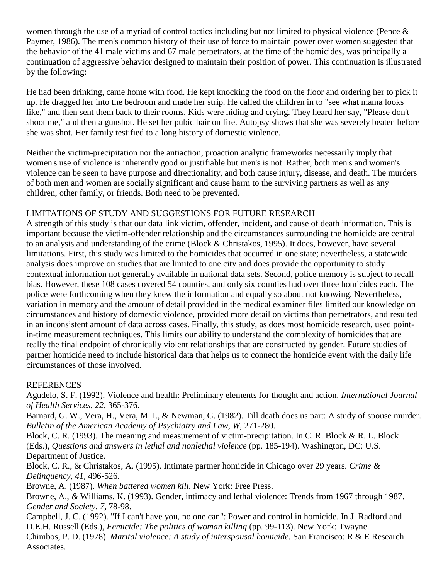women through the use of a myriad of control tactics including but not limited to physical violence (Pence & Paymer, 1986). The men's common history of their use of force to maintain power over women suggested that the behavior of the 41 male victims and 67 male perpetrators, at the time of the homicides, was principally a continuation of aggressive behavior designed to maintain their position of power. This continuation is illustrated by the following:

He had been drinking, came home with food. He kept knocking the food on the floor and ordering her to pick it up. He dragged her into the bedroom and made her strip. He called the children in to "see what mama looks like," and then sent them back to their rooms. Kids were hiding and crying. They heard her say, "Please don't shoot me," and then a gunshot. He set her pubic hair on fire. Autopsy shows that she was severely beaten before she was shot. Her family testified to a long history of domestic violence.

Neither the victim-precipitation nor the antiaction, proaction analytic frameworks necessarily imply that women's use of violence is inherently good or justifiable but men's is not. Rather, both men's and women's violence can be seen to have purpose and directionality, and both cause injury, disease, and death. The murders of both men and women are socially significant and cause harm to the surviving partners as well as any children, other family, or friends. Both need to be prevented.

# LIMITATIONS OF STUDY AND SUGGESTIONS FOR FUTURE RESEARCH

A strength of this study is that our data link victim, offender, incident, and cause of death information. This is important because the victim-offender relationship and the circumstances surrounding the homicide are central to an analysis and understanding of the crime (Block & Christakos, 1995). It does, however, have several limitations. First, this study was limited to the homicides that occurred in one state; nevertheless, a statewide analysis does improve on studies that are limited to one city and does provide the opportunity to study contextual information not generally available in national data sets. Second, police memory is subject to recall bias. However, these 108 cases covered 54 counties, and only six counties had over three homicides each. The police were forthcoming when they knew the information and equally so about not knowing. Nevertheless, variation in memory and the amount of detail provided in the medical examiner files limited our knowledge on circumstances and history of domestic violence, provided more detail on victims than perpetrators, and resulted in an inconsistent amount of data across cases. Finally, this study, as does most homicide research, used pointin-time measurement techniques. This limits our ability to understand the complexity of homicides that are really the final endpoint of chronically violent relationships that are constructed by gender. Future studies of partner homicide need to include historical data that helps us to connect the homicide event with the daily life circumstances of those involved.

## REFERENCES

Agudelo, S. F. (1992). Violence and health: Preliminary elements for thought and action. *International Journal of Health Services, 22,* 365-376.

Barnard, G. W., Vera, H., Vera, M. I., & Newman, G. (1982). Till death does us part: A study of spouse murder. Bulletin of the American Academy of Psychiatry and Law, W, 271-280.

Block, C. R. (1993). The meaning and measurement of victim-precipitation. In C. R. Block & R. L. Block (Eds.), *Questions and answers in lethal and nonlethal violence* (pp. 185-194). Washington, DC: U.S. Department of Justice.

Block, C. R., & Christakos, A. (1995). Intimate partner homicide in Chicago over 29 years. *Crime & Delinquency, 41,* 496-526.

Browne, A. (1987). *When battered women kill.* New York: Free Press.

Browne, A., *&* Williams, K. (1993). Gender, intimacy and lethal violence: Trends from 1967 through 1987. *Gender and Society, 7,* 78-98.

Campbell, J. C. (1992). "If I can't have you, no one can": Power and control in homicide. In J. Radford and D.E.H. Russell (Eds.), *Femicide: The politics of woman killing* (pp. 99-113). New York: Twayne.

Chimbos, P. D. (1978). *Marital violence: A study of interspousal homicide.* San Francisco: R & E Research Associates.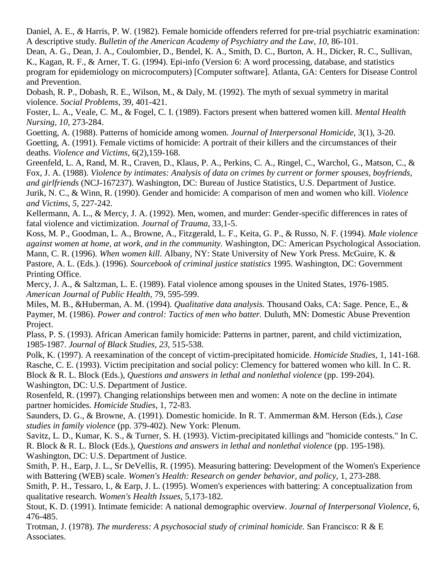Daniel, A. E., *&* Harris, P. W. (1982). Female homicide offenders referred for pre-trial psychiatric examination: A descriptive study. *Bulletin of the American Academy of Psychiatry and the Law, 10, 86-101.* 

Dean, A. G., Dean, J. A., Coulombier, D., Bendel, K. A., Smith, D. C., Burton, A. H., Dicker, R. C., Sullivan, K., Kagan, R. F., & Arner, T. G. (1994). Epi-info (Version 6: A word processing, database, and statistics program for epidemiology on microcomputers) [Computer software]. Atlanta, GA: Centers for Disease Control and Prevention.

Dobash, R. P., Dobash, R. E., Wilson, M., & Daly, M. (1992). The myth of sexual symmetry in marital violence. *Social Problems,* 39, 401-421.

Foster, L. A., Veale, C. M., & Fogel, C. I. (1989). Factors present when battered women kill. *Mental Health Nursing, 10,* 273-284.

Goetting, A. (1988). Patterns of homicide among women. *Journal of Interpersonal Homicide,* 3(1), 3-20. Goetting, A. (1991). Female victims of homicide: A portrait of their killers and the circumstances of their deaths. *Violence and Victims,* 6(2),159-168.

Greenfeld, L. A, Rand, M. R., Craven, D., Klaus, P. A., Perkins, C. A., Ringel, C., Warchol, G., Matson, C., & Fox, J. A. (1988). *Violence by intimates: Analysis of data on crimes by current or former spouses, boyfriends, and girlfriends* (NCJ-167237). Washington, DC: Bureau of Justice Statistics, U.S. Department of Justice. Jurik, N. C., & Winn, R. (1990). Gender and homicide: A comparison of men and women who kill. *Violence and Victims, 5,* 227-242.

Kellermann, A. L., & Mercy, J. A. (1992). Men, women, and murder: Gender-specific differences in rates of fatal violence and victimization. *Journal of Trauma,* 33,1-5.

Koss, M. P., Goodman, L. A., Browne, A., Fitzgerald, L. F., Keita, G. P., & Russo, N. F. (1994). *Male violence against women at home, at work, and in the community.* Washington, DC: American Psychological Association. Mann, C. R. (1996). *When women kill.* Albany, NY: State University of New York Press. McGuire, K. & Pastore, A. L. (Eds.). (1996). *Sourcebook of criminal justice statistics* 1995. Washington, DC: Government Printing Office.

Mercy, J. A., & Saltzman, L. E. (1989). Fatal violence among spouses in the United States, 1976-1985. *American Journal of Public Health,* 79, 595-599.

Miles, M. B., &Huberman, A. M. (1994). *Qualitative data analysis.* Thousand Oaks, CA: Sage. Pence, E., & Paymer, M. (1986). *Power and control: Tactics of men who batter.* Duluth, MN: Domestic Abuse Prevention Project.

Plass, P. S. (1993). African American family homicide: Patterns in partner, parent, and child victimization, 1985-1987. *Journal of Black Studies, 23,* 515-538.

Polk, K. (1997). A reexamination of the concept of victim-precipitated homicide. *Homicide Studies,* 1, 141-168. Rasche, C. E. (1993). Victim precipitation and social policy: Clemency for battered women who kill. In C. R. Block & R. L. Block (Eds.), *Questions and answers in lethal and nonlethal violence* (pp. 199-204). Washington, DC: U.S. Department of Justice.

Rosenfeld, R. (1997). Changing relationships between men and women: A note on the decline in intimate partner homicides. *Homicide Studies,* 1, 72-83.

Saunders, D. G., & Browne, A. (1991). Domestic homicide. In R. T. Ammerman &M. Herson (Eds.), *Case studies in family violence* (pp. 379-402). New York: Plenum.

Savitz, L. D., Kumar, K. S., & Turner, S. H. (1993). Victim-precipitated killings and "homicide contests." In C. R. Block & R. L. Block (Eds.), *Questions and answers in lethal and nonlethal violence* (pp. 195-198). Washington, DC: U.S. Department of Justice.

Smith, P. H., Earp, J. L., Sr DeVellis, R. (1995). Measuring battering: Development of the Women's Experience with Battering (WEB) scale. *Women's Health: Research on gender behavior, and policy,* 1, 273-288.

Smith, P. H., Tessaro, I., & Earp, J. L. (1995). Women's experiences with battering: A conceptualization from qualitative research. *Women's Health Issues,* 5,173-182.

Stout, K. D. (1991). Intimate femicide: A national demographic overview. *Journal of Interpersonal Violence,* 6, 476-485.

Trotman, J. (1978). *The murderess: A psychosocial study of criminal homicide.* San Francisco: R & E Associates.